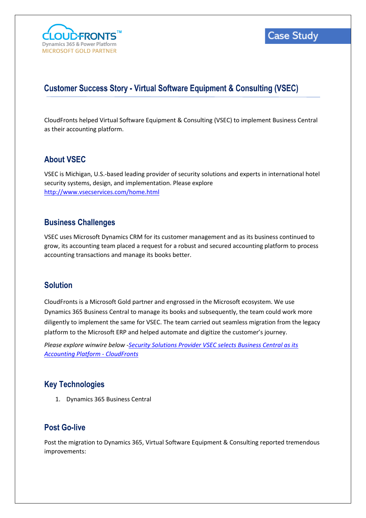

# **Customer Success Story - Virtual Software Equipment & Consulting (VSEC)**

CloudFronts helped Virtual Software Equipment & Consulting (VSEC) to implement Business Central as their accounting platform.

## **About VSEC**

VSEC is Michigan, U.S.-based leading provider of security solutions and experts in international hotel security systems, design, and implementation. Please explore <http://www.vsecservices.com/home.html>

### **Business Challenges**

VSEC uses Microsoft Dynamics CRM for its customer management and as its business continued to grow, its accounting team placed a request for a robust and secured accounting platform to process accounting transactions and manage its books better.

### **Solution**

CloudFronts is a Microsoft Gold partner and engrossed in the Microsoft ecosystem. We use Dynamics 365 Business Central to manage its books and subsequently, the team could work more diligently to implement the same for VSEC. The team carried out seamless migration from the legacy platform to the Microsoft ERP and helped automate and digitize the customer's journey.

*Please explore winwire below [-Security Solutions Provider VSEC selects Business Central as its](https://www.cloudfronts.com/news/security-solutions-provider-vsec-selects-business-central-as-its-accounting-platform/)  [Accounting Platform -](https://www.cloudfronts.com/news/security-solutions-provider-vsec-selects-business-central-as-its-accounting-platform/) CloudFronts*

### **Key Technologies**

1. Dynamics 365 Business Central

### **Post Go-live**

Post the migration to Dynamics 365, Virtual Software Equipment & Consulting reported tremendous improvements: